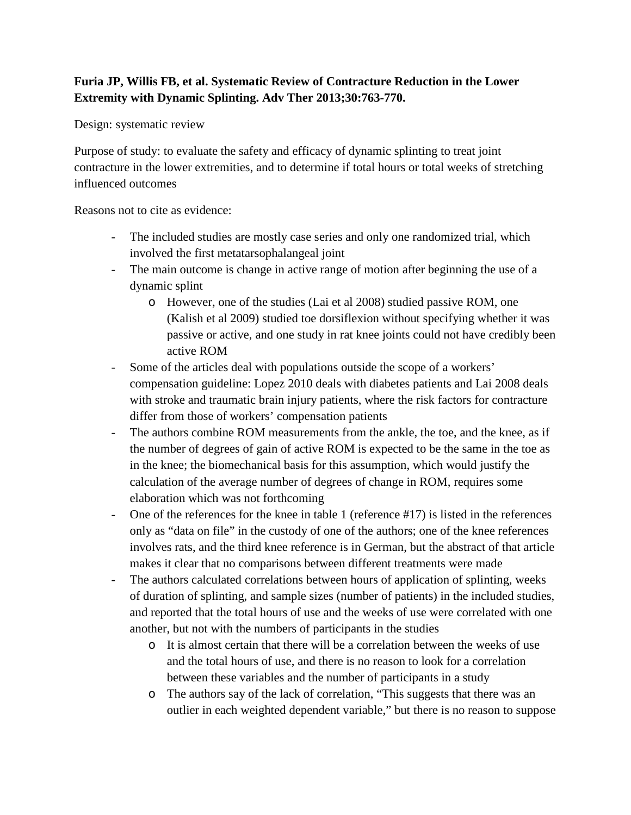## **Furia JP, Willis FB, et al. Systematic Review of Contracture Reduction in the Lower Extremity with Dynamic Splinting. Adv Ther 2013;30:763-770.**

Design: systematic review

Purpose of study: to evaluate the safety and efficacy of dynamic splinting to treat joint contracture in the lower extremities, and to determine if total hours or total weeks of stretching influenced outcomes

Reasons not to cite as evidence:

- The included studies are mostly case series and only one randomized trial, which involved the first metatarsophalangeal joint
- The main outcome is change in active range of motion after beginning the use of a dynamic splint
	- o However, one of the studies (Lai et al 2008) studied passive ROM, one (Kalish et al 2009) studied toe dorsiflexion without specifying whether it was passive or active, and one study in rat knee joints could not have credibly been active ROM
- Some of the articles deal with populations outside the scope of a workers' compensation guideline: Lopez 2010 deals with diabetes patients and Lai 2008 deals with stroke and traumatic brain injury patients, where the risk factors for contracture differ from those of workers' compensation patients
- The authors combine ROM measurements from the ankle, the toe, and the knee, as if the number of degrees of gain of active ROM is expected to be the same in the toe as in the knee; the biomechanical basis for this assumption, which would justify the calculation of the average number of degrees of change in ROM, requires some elaboration which was not forthcoming
- One of the references for the knee in table 1 (reference #17) is listed in the references only as "data on file" in the custody of one of the authors; one of the knee references involves rats, and the third knee reference is in German, but the abstract of that article makes it clear that no comparisons between different treatments were made
- The authors calculated correlations between hours of application of splinting, weeks of duration of splinting, and sample sizes (number of patients) in the included studies, and reported that the total hours of use and the weeks of use were correlated with one another, but not with the numbers of participants in the studies
	- o It is almost certain that there will be a correlation between the weeks of use and the total hours of use, and there is no reason to look for a correlation between these variables and the number of participants in a study
	- o The authors say of the lack of correlation, "This suggests that there was an outlier in each weighted dependent variable," but there is no reason to suppose